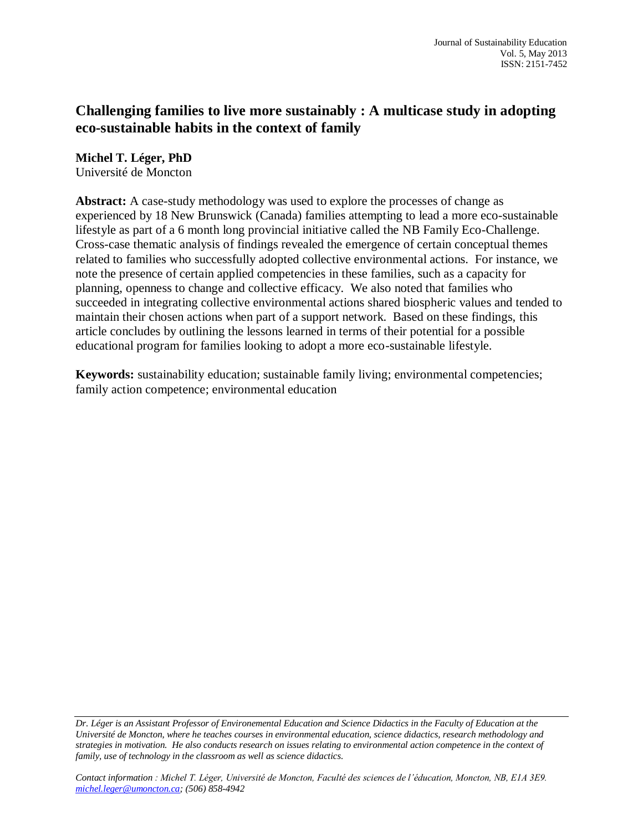# **Challenging families to live more sustainably : A multicase study in adopting eco-sustainable habits in the context of family**

**Michel T. Léger, PhD** Université de Moncton

**Abstract:** A case-study methodology was used to explore the processes of change as experienced by 18 New Brunswick (Canada) families attempting to lead a more eco-sustainable lifestyle as part of a 6 month long provincial initiative called the NB Family Eco-Challenge. Cross-case thematic analysis of findings revealed the emergence of certain conceptual themes related to families who successfully adopted collective environmental actions. For instance, we note the presence of certain applied competencies in these families, such as a capacity for planning, openness to change and collective efficacy. We also noted that families who succeeded in integrating collective environmental actions shared biospheric values and tended to maintain their chosen actions when part of a support network. Based on these findings, this article concludes by outlining the lessons learned in terms of their potential for a possible educational program for families looking to adopt a more eco-sustainable lifestyle.

**Keywords:** sustainability education; sustainable family living; environmental competencies; family action competence; environmental education

*Dr. Léger is an Assistant Professor of Environemental Education and Science Didactics in the Faculty of Education at the Université de Moncton, where he teaches courses in environmental education, science didactics, research methodology and strategies in motivation. He also conducts research on issues relating to environmental action competence in the context of family, use of technology in the classroom as well as science didactics.*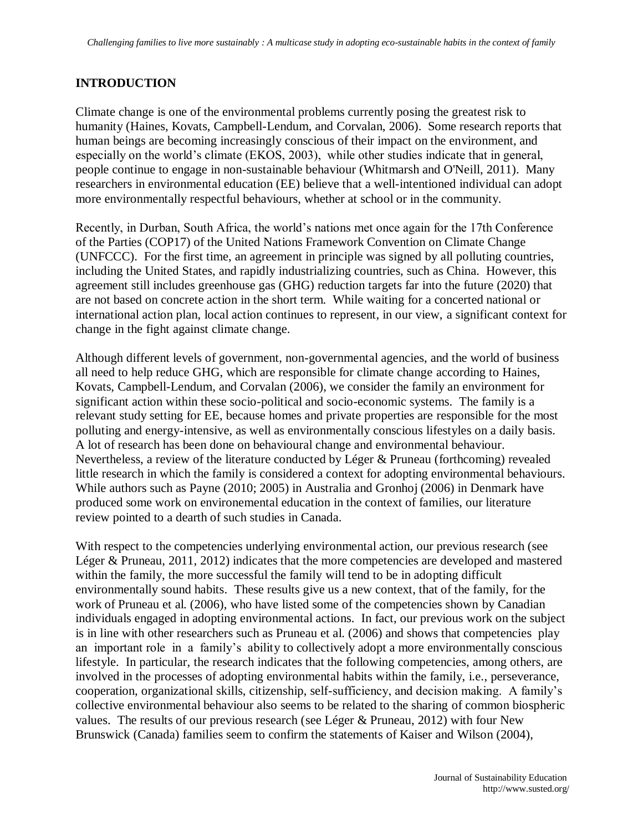## **INTRODUCTION**

Climate change is one of the environmental problems currently posing the greatest risk to humanity (Haines, Kovats, Campbell-Lendum, and Corvalan, 2006). Some research reports that human beings are becoming increasingly conscious of their impact on the environment, and especially on the world's climate (EKOS, 2003), while other studies indicate that in general, people continue to engage in non-sustainable behaviour (Whitmarsh and O'Neill, 2011). Many researchers in environmental education (EE) believe that a well-intentioned individual can adopt more environmentally respectful behaviours, whether at school or in the community.

Recently, in Durban, South Africa, the world's nations met once again for the 17th Conference of the Parties (COP17) of the United Nations Framework Convention on Climate Change (UNFCCC). For the first time, an agreement in principle was signed by all polluting countries, including the United States, and rapidly industrializing countries, such as China. However, this agreement still includes greenhouse gas (GHG) reduction targets far into the future (2020) that are not based on concrete action in the short term. While waiting for a concerted national or international action plan, local action continues to represent, in our view, a significant context for change in the fight against climate change.

Although different levels of government, non-governmental agencies, and the world of business all need to help reduce GHG, which are responsible for climate change according to Haines, Kovats, Campbell-Lendum, and Corvalan (2006), we consider the family an environment for significant action within these socio-political and socio-economic systems. The family is a relevant study setting for EE, because homes and private properties are responsible for the most polluting and energy-intensive, as well as environmentally conscious lifestyles on a daily basis. A lot of research has been done on behavioural change and environmental behaviour. Nevertheless, a review of the literature conducted by Léger & Pruneau (forthcoming) revealed little research in which the family is considered a context for adopting environmental behaviours. While authors such as Payne (2010; 2005) in Australia and Gronhoj (2006) in Denmark have produced some work on environemental education in the context of families, our literature review pointed to a dearth of such studies in Canada.

With respect to the competencies underlying environmental action, our previous research (see Léger & Pruneau, 2011, 2012) indicates that the more competencies are developed and mastered within the family, the more successful the family will tend to be in adopting difficult environmentally sound habits. These results give us a new context, that of the family, for the work of Pruneau et al. (2006), who have listed some of the competencies shown by Canadian individuals engaged in adopting environmental actions. In fact, our previous work on the subject is in line with other researchers such as Pruneau et al. (2006) and shows that competencies play an important role in a family's ability to collectively adopt a more environmentally conscious lifestyle. In particular, the research indicates that the following competencies, among others, are involved in the processes of adopting environmental habits within the family, i.e., perseverance, cooperation, organizational skills, citizenship, self-sufficiency, and decision making. A family's collective environmental behaviour also seems to be related to the sharing of common biospheric values. The results of our previous research (see Léger & Pruneau, 2012) with four New Brunswick (Canada) families seem to confirm the statements of Kaiser and Wilson (2004),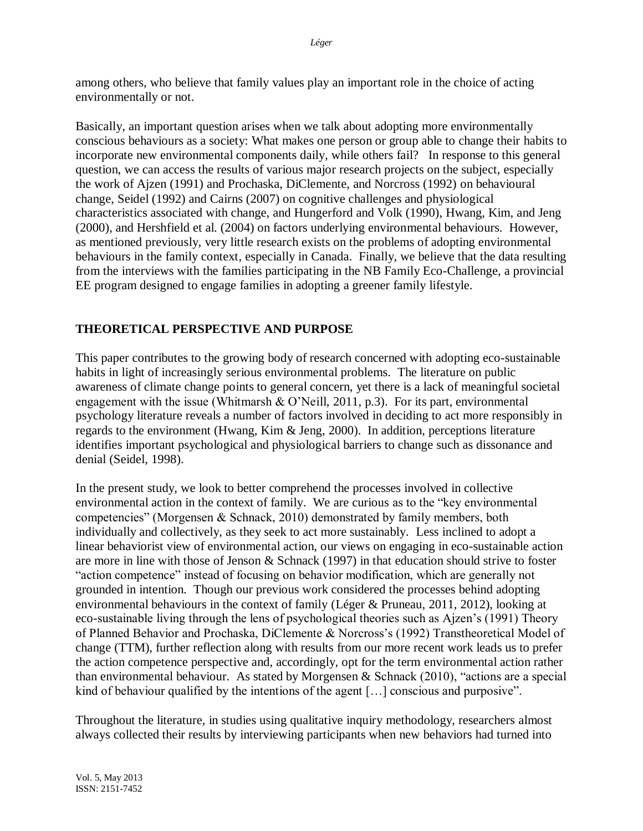among others, who believe that family values play an important role in the choice of acting environmentally or not.

Basically, an important question arises when we talk about adopting more environmentally conscious behaviours as a society: What makes one person or group able to change their habits to incorporate new environmental components daily, while others fail? In response to this general question, we can access the results of various major research projects on the subject, especially the work of Ajzen (1991) and Prochaska, DiClemente, and Norcross (1992) on behavioural change, Seidel (1992) and Cairns (2007) on cognitive challenges and physiological characteristics associated with change, and Hungerford and Volk (1990), Hwang, Kim, and Jeng (2000), and Hershfield et al. (2004) on factors underlying environmental behaviours. However, as mentioned previously, very little research exists on the problems of adopting environmental behaviours in the family context, especially in Canada. Finally, we believe that the data resulting from the interviews with the families participating in the NB Family Eco-Challenge, a provincial EE program designed to engage families in adopting a greener family lifestyle.

## **THEORETICAL PERSPECTIVE AND PURPOSE**

This paper contributes to the growing body of research concerned with adopting eco-sustainable habits in light of increasingly serious environmental problems. The literature on public awareness of climate change points to general concern, yet there is a lack of meaningful societal engagement with the issue (Whitmarsh  $&$  O'Neill, 2011, p.3). For its part, environmental psychology literature reveals a number of factors involved in deciding to act more responsibly in regards to the environment (Hwang, Kim & Jeng, 2000). In addition, perceptions literature identifies important psychological and physiological barriers to change such as dissonance and denial (Seidel, 1998).

In the present study, we look to better comprehend the processes involved in collective environmental action in the context of family. We are curious as to the "key environmental competencies" (Morgensen & Schnack, 2010) demonstrated by family members, both individually and collectively, as they seek to act more sustainably. Less inclined to adopt a linear behaviorist view of environmental action, our views on engaging in eco-sustainable action are more in line with those of Jenson & Schnack (1997) in that education should strive to foster "action competence" instead of focusing on behavior modification, which are generally not grounded in intention. Though our previous work considered the processes behind adopting environmental behaviours in the context of family (Léger & Pruneau, 2011, 2012), looking at eco-sustainable living through the lens of psychological theories such as Ajzen's (1991) Theory of Planned Behavior and Prochaska, DiClemente & Norcross's (1992) Transtheoretical Model of change (TTM), further reflection along with results from our more recent work leads us to prefer the action competence perspective and, accordingly, opt for the term environmental action rather than environmental behaviour. As stated by Morgensen & Schnack (2010), "actions are a special kind of behaviour qualified by the intentions of the agent […] conscious and purposive".

Throughout the literature, in studies using qualitative inquiry methodology, researchers almost always collected their results by interviewing participants when new behaviors had turned into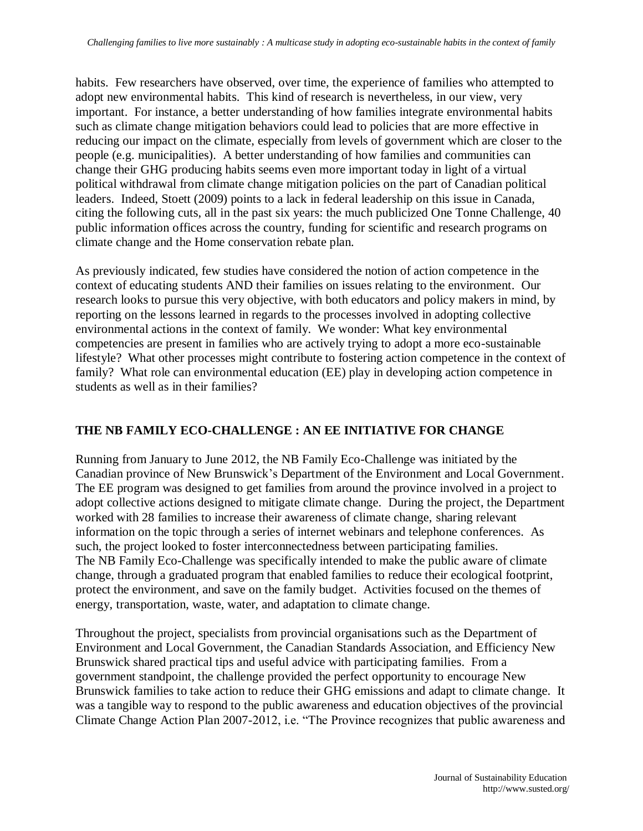habits. Few researchers have observed, over time, the experience of families who attempted to adopt new environmental habits. This kind of research is nevertheless, in our view, very important. For instance, a better understanding of how families integrate environmental habits such as climate change mitigation behaviors could lead to policies that are more effective in reducing our impact on the climate, especially from levels of government which are closer to the people (e.g. municipalities). A better understanding of how families and communities can change their GHG producing habits seems even more important today in light of a virtual political withdrawal from climate change mitigation policies on the part of Canadian political leaders. Indeed, Stoett (2009) points to a lack in federal leadership on this issue in Canada, citing the following cuts, all in the past six years: the much publicized One Tonne Challenge, 40 public information offices across the country, funding for scientific and research programs on climate change and the Home conservation rebate plan.

As previously indicated, few studies have considered the notion of action competence in the context of educating students AND their families on issues relating to the environment. Our research looks to pursue this very objective, with both educators and policy makers in mind, by reporting on the lessons learned in regards to the processes involved in adopting collective environmental actions in the context of family. We wonder: What key environmental competencies are present in families who are actively trying to adopt a more eco-sustainable lifestyle? What other processes might contribute to fostering action competence in the context of family? What role can environmental education (EE) play in developing action competence in students as well as in their families?

## **THE NB FAMILY ECO-CHALLENGE : AN EE INITIATIVE FOR CHANGE**

Running from January to June 2012, the NB Family Eco-Challenge was initiated by the Canadian province of New Brunswick's Department of the Environment and Local Government. The EE program was designed to get families from around the province involved in a project to adopt collective actions designed to mitigate climate change. During the project, the Department worked with 28 families to increase their awareness of climate change, sharing relevant information on the topic through a series of internet webinars and telephone conferences. As such, the project looked to foster interconnectedness between participating families. The NB Family Eco-Challenge was specifically intended to make the public aware of climate change, through a graduated program that enabled families to reduce their ecological footprint, protect the environment, and save on the family budget. Activities focused on the themes of energy, transportation, waste, water, and adaptation to climate change.

Throughout the project, specialists from provincial organisations such as the Department of Environment and Local Government, the Canadian Standards Association, and Efficiency New Brunswick shared practical tips and useful advice with participating families. From a government standpoint, the challenge provided the perfect opportunity to encourage New Brunswick families to take action to reduce their GHG emissions and adapt to climate change. It was a tangible way to respond to the public awareness and education objectives of the provincial Climate Change Action Plan 2007-2012, i.e. "The Province recognizes that public awareness and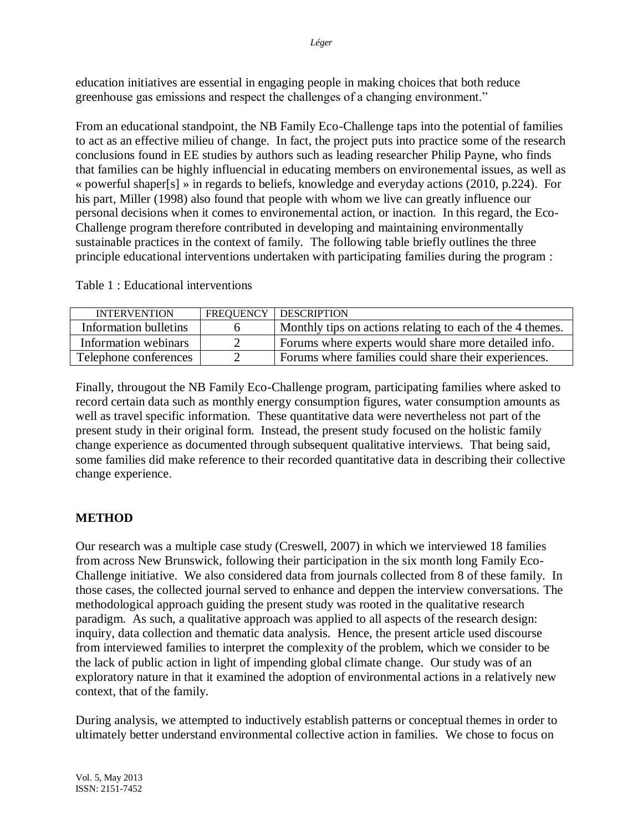education initiatives are essential in engaging people in making choices that both reduce greenhouse gas emissions and respect the challenges of a changing environment."

From an educational standpoint, the NB Family Eco-Challenge taps into the potential of families to act as an effective milieu of change. In fact, the project puts into practice some of the research conclusions found in EE studies by authors such as leading researcher Philip Payne, who finds that families can be highly influencial in educating members on environemental issues, as well as « powerful shaper[s] » in regards to beliefs, knowledge and everyday actions (2010, p.224). For his part, Miller (1998) also found that people with whom we live can greatly influence our personal decisions when it comes to environemental action, or inaction. In this regard, the Eco-Challenge program therefore contributed in developing and maintaining environmentally sustainable practices in the context of family. The following table briefly outlines the three principle educational interventions undertaken with participating families during the program :

| <b>INTERVENTION</b>   | FREQUENCY   DESCRIPTION                                   |
|-----------------------|-----------------------------------------------------------|
| Information bulletins | Monthly tips on actions relating to each of the 4 themes. |
| Information webinars  | Forums where experts would share more detailed info.      |
| Telephone conferences | Forums where families could share their experiences.      |

Table 1 : Educational interventions

Finally, througout the NB Family Eco-Challenge program, participating families where asked to record certain data such as monthly energy consumption figures, water consumption amounts as well as travel specific information. These quantitative data were nevertheless not part of the present study in their original form. Instead, the present study focused on the holistic family change experience as documented through subsequent qualitative interviews. That being said, some families did make reference to their recorded quantitative data in describing their collective change experience.

## **METHOD**

Our research was a multiple case study (Creswell, 2007) in which we interviewed 18 families from across New Brunswick, following their participation in the six month long Family Eco-Challenge initiative. We also considered data from journals collected from 8 of these family. In those cases, the collected journal served to enhance and deppen the interview conversations. The methodological approach guiding the present study was rooted in the qualitative research paradigm. As such, a qualitative approach was applied to all aspects of the research design: inquiry, data collection and thematic data analysis. Hence, the present article used discourse from interviewed families to interpret the complexity of the problem, which we consider to be the lack of public action in light of impending global climate change. Our study was of an exploratory nature in that it examined the adoption of environmental actions in a relatively new context, that of the family.

During analysis, we attempted to inductively establish patterns or conceptual themes in order to ultimately better understand environmental collective action in families. We chose to focus on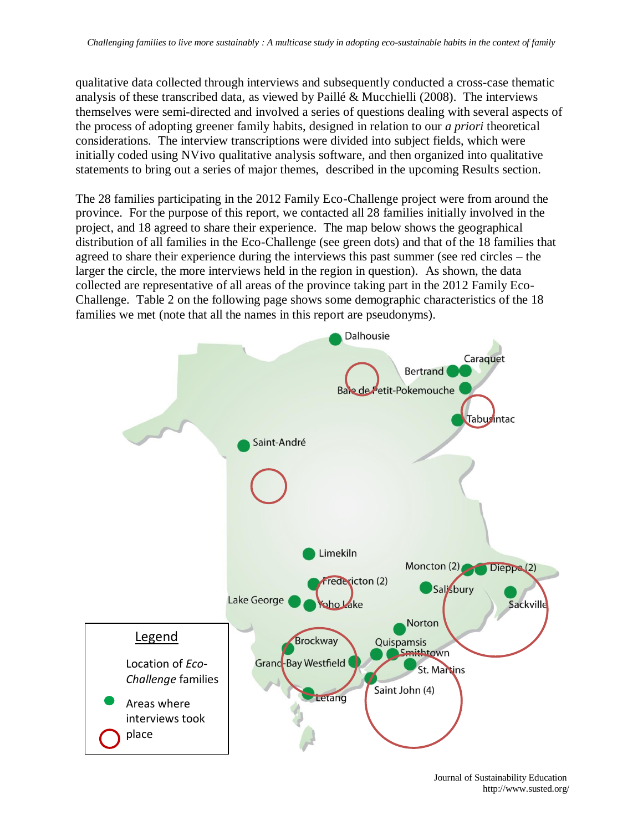qualitative data collected through interviews and subsequently conducted a cross-case thematic analysis of these transcribed data, as viewed by Paillé & Mucchielli (2008). The interviews themselves were semi-directed and involved a series of questions dealing with several aspects of the process of adopting greener family habits, designed in relation to our *a priori* theoretical considerations. The interview transcriptions were divided into subject fields, which were initially coded using NVivo qualitative analysis software, and then organized into qualitative statements to bring out a series of major themes, described in the upcoming Results section.

The 28 families participating in the 2012 Family Eco-Challenge project were from around the province. For the purpose of this report, we contacted all 28 families initially involved in the project, and 18 agreed to share their experience. The map below shows the geographical distribution of all families in the Eco-Challenge (see green dots) and that of the 18 families that agreed to share their experience during the interviews this past summer (see red circles – the larger the circle, the more interviews held in the region in question). As shown, the data collected are representative of all areas of the province taking part in the 2012 Family Eco-Challenge. Table 2 on the following page shows some demographic characteristics of the 18 families we met (note that all the names in this report are pseudonyms).



Journal of Sustainability Education http://www.susted.org/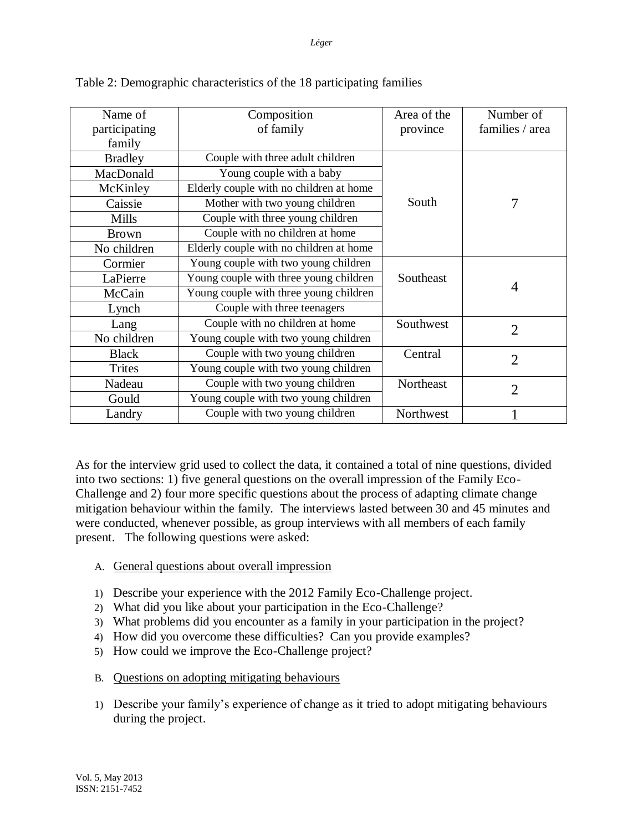| Name of<br>participating<br>family | Composition<br>of family                | Area of the<br>province | Number of<br>families / area |
|------------------------------------|-----------------------------------------|-------------------------|------------------------------|
| <b>Bradley</b>                     | Couple with three adult children        |                         |                              |
| MacDonald                          | Young couple with a baby                |                         |                              |
| McKinley                           | Elderly couple with no children at home |                         |                              |
| Caissie                            | Mother with two young children          | South                   | 7                            |
| Mills                              | Couple with three young children        |                         |                              |
| <b>Brown</b>                       | Couple with no children at home         |                         |                              |
| No children                        | Elderly couple with no children at home |                         |                              |
| Cormier                            | Young couple with two young children    |                         |                              |
| LaPierre                           | Young couple with three young children  | Southeast               |                              |
| McCain                             | Young couple with three young children  |                         | 4                            |
| Lynch                              | Couple with three teenagers             |                         |                              |
| Lang                               | Couple with no children at home         | Southwest               | $\overline{2}$               |
| No children                        | Young couple with two young children    |                         |                              |
| <b>Black</b>                       | Couple with two young children          | Central                 | $\overline{2}$               |
| Trites                             | Young couple with two young children    |                         |                              |
| Nadeau                             | Couple with two young children          | Northeast               | $\mathcal{D}_{\mathcal{L}}$  |
| Gould                              | Young couple with two young children    |                         |                              |
| Landry                             | Couple with two young children          | Northwest               |                              |

Table 2: Demographic characteristics of the 18 participating families

As for the interview grid used to collect the data, it contained a total of nine questions, divided into two sections: 1) five general questions on the overall impression of the Family Eco-Challenge and 2) four more specific questions about the process of adapting climate change mitigation behaviour within the family. The interviews lasted between 30 and 45 minutes and were conducted, whenever possible, as group interviews with all members of each family present. The following questions were asked:

## A. General questions about overall impression

- 1) Describe your experience with the 2012 Family Eco-Challenge project.
- 2) What did you like about your participation in the Eco-Challenge?
- 3) What problems did you encounter as a family in your participation in the project?
- 4) How did you overcome these difficulties? Can you provide examples?
- 5) How could we improve the Eco-Challenge project?
- B. Questions on adopting mitigating behaviours
- 1) Describe your family's experience of change as it tried to adopt mitigating behaviours during the project.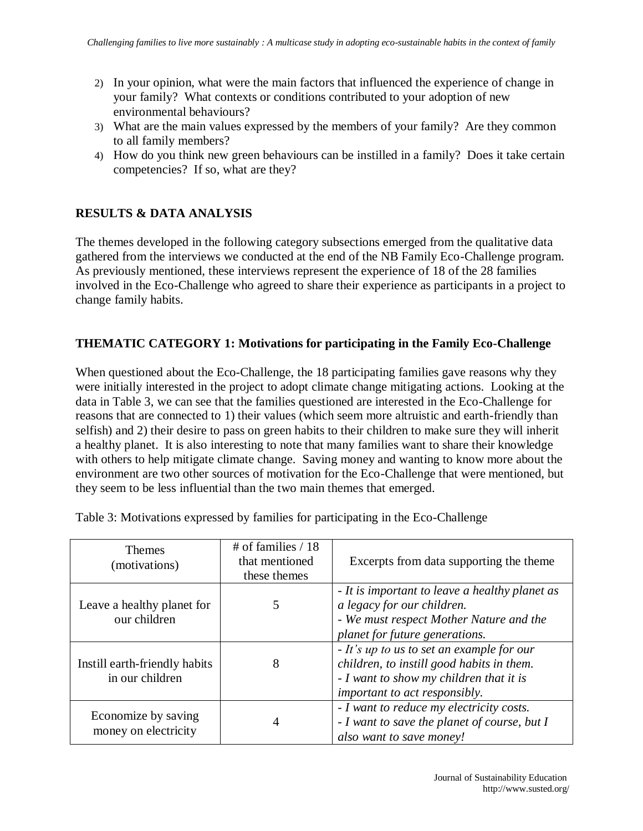- 2) In your opinion, what were the main factors that influenced the experience of change in your family? What contexts or conditions contributed to your adoption of new environmental behaviours?
- 3) What are the main values expressed by the members of your family? Are they common to all family members?
- 4) How do you think new green behaviours can be instilled in a family? Does it take certain competencies? If so, what are they?

## **RESULTS & DATA ANALYSIS**

The themes developed in the following category subsections emerged from the qualitative data gathered from the interviews we conducted at the end of the NB Family Eco-Challenge program. As previously mentioned, these interviews represent the experience of 18 of the 28 families involved in the Eco-Challenge who agreed to share their experience as participants in a project to change family habits.

## **THEMATIC CATEGORY 1: Motivations for participating in the Family Eco-Challenge**

When questioned about the Eco-Challenge, the 18 participating families gave reasons why they were initially interested in the project to adopt climate change mitigating actions. Looking at the data in Table 3, we can see that the families questioned are interested in the Eco-Challenge for reasons that are connected to 1) their values (which seem more altruistic and earth-friendly than selfish) and 2) their desire to pass on green habits to their children to make sure they will inherit a healthy planet. It is also interesting to note that many families want to share their knowledge with others to help mitigate climate change. Saving money and wanting to know more about the environment are two other sources of motivation for the Eco-Challenge that were mentioned, but they seem to be less influential than the two main themes that emerged.

| <b>Themes</b><br>(motivations)                   | # of families $/ 18$<br>that mentioned<br>these themes | Excerpts from data supporting the theme                                                                                                                            |
|--------------------------------------------------|--------------------------------------------------------|--------------------------------------------------------------------------------------------------------------------------------------------------------------------|
| Leave a healthy planet for<br>our children       |                                                        | - It is important to leave a healthy planet as<br>a legacy for our children.<br>- We must respect Mother Nature and the<br>planet for future generations.          |
| Instill earth-friendly habits<br>in our children | 8                                                      | - It's up to us to set an example for our<br>children, to instill good habits in them.<br>- I want to show my children that it is<br>important to act responsibly. |
| Economize by saving<br>money on electricity      | 4                                                      | - I want to reduce my electricity costs.<br>- I want to save the planet of course, but I<br>also want to save money!                                               |

Table 3: Motivations expressed by families for participating in the Eco-Challenge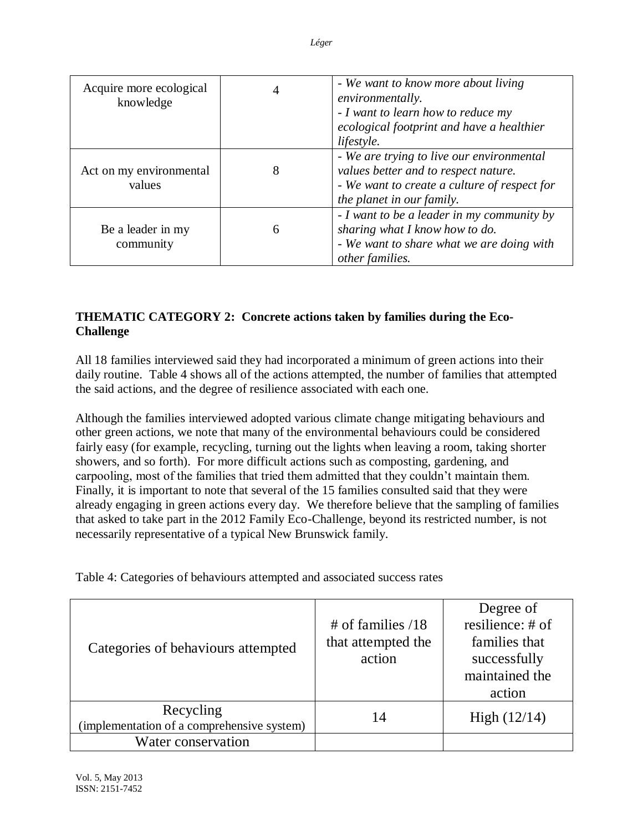| Acquire more ecological<br>knowledge | 4 | - We want to know more about living<br>environmentally.<br>- I want to learn how to reduce my<br>ecological footprint and have a healthier<br>lifestyle.       |
|--------------------------------------|---|----------------------------------------------------------------------------------------------------------------------------------------------------------------|
| Act on my environmental<br>values    | 8 | - We are trying to live our environmental<br>values better and to respect nature.<br>- We want to create a culture of respect for<br>the planet in our family. |
| Be a leader in my<br>community       | 6 | - I want to be a leader in my community by<br>sharing what I know how to do.<br>- We want to share what we are doing with<br>other families.                   |

# **THEMATIC CATEGORY 2: Concrete actions taken by families during the Eco-Challenge**

All 18 families interviewed said they had incorporated a minimum of green actions into their daily routine. Table 4 shows all of the actions attempted, the number of families that attempted the said actions, and the degree of resilience associated with each one.

Although the families interviewed adopted various climate change mitigating behaviours and other green actions, we note that many of the environmental behaviours could be considered fairly easy (for example, recycling, turning out the lights when leaving a room, taking shorter showers, and so forth). For more difficult actions such as composting, gardening, and carpooling, most of the families that tried them admitted that they couldn't maintain them. Finally, it is important to note that several of the 15 families consulted said that they were already engaging in green actions every day. We therefore believe that the sampling of families that asked to take part in the 2012 Family Eco-Challenge, beyond its restricted number, is not necessarily representative of a typical New Brunswick family.

Table 4: Categories of behaviours attempted and associated success rates

| Categories of behaviours attempted                      | # of families $/18$<br>that attempted the<br>action | Degree of<br>resilience: # of<br>families that<br>successfully<br>maintained the<br>action |
|---------------------------------------------------------|-----------------------------------------------------|--------------------------------------------------------------------------------------------|
| Recycling<br>(implementation of a comprehensive system) | 14                                                  | High $(12/14)$                                                                             |
| Water conservation                                      |                                                     |                                                                                            |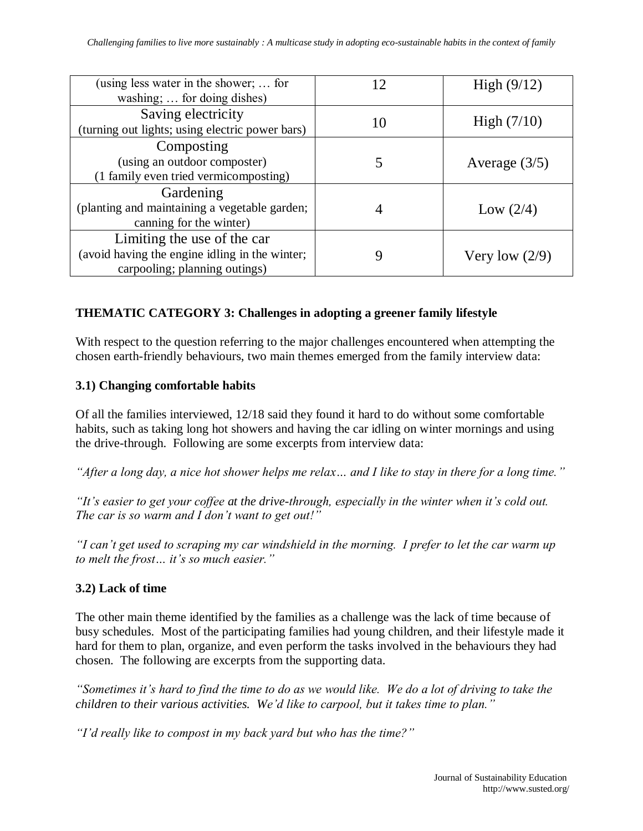| (using less water in the shower;  for<br>washing;  for doing dishes)                                           | 12 | High $(9/12)$    |
|----------------------------------------------------------------------------------------------------------------|----|------------------|
| Saving electricity<br>(turning out lights; using electric power bars)                                          | 10 | High $(7/10)$    |
| Composting<br>(using an outdoor composter)<br>(1 family even tried vermicomposting)                            |    | Average $(3/5)$  |
| Gardening<br>(planting and maintaining a vegetable garden;<br>canning for the winter)                          |    | Low $(2/4)$      |
| Limiting the use of the car<br>(avoid having the engine idling in the winter;<br>carpooling; planning outings) |    | Very low $(2/9)$ |

## **THEMATIC CATEGORY 3: Challenges in adopting a greener family lifestyle**

With respect to the question referring to the major challenges encountered when attempting the chosen earth-friendly behaviours, two main themes emerged from the family interview data:

#### **3.1) Changing comfortable habits**

Of all the families interviewed, 12/18 said they found it hard to do without some comfortable habits, such as taking long hot showers and having the car idling on winter mornings and using the drive-through. Following are some excerpts from interview data:

*"After a long day, a nice hot shower helps me relax… and I like to stay in there for a long time."*

*"It's easier to get your coffee at the drive-through, especially in the winter when it's cold out. The car is so warm and I don't want to get out!"*

*"I can't get used to scraping my car windshield in the morning. I prefer to let the car warm up to melt the frost… it's so much easier."*

## **3.2) Lack of time**

The other main theme identified by the families as a challenge was the lack of time because of busy schedules. Most of the participating families had young children, and their lifestyle made it hard for them to plan, organize, and even perform the tasks involved in the behaviours they had chosen. The following are excerpts from the supporting data.

*"Sometimes it's hard to find the time to do as we would like. We do a lot of driving to take the children to their various activities. We'd like to carpool, but it takes time to plan."*

*"I'd really like to compost in my back yard but who has the time?"*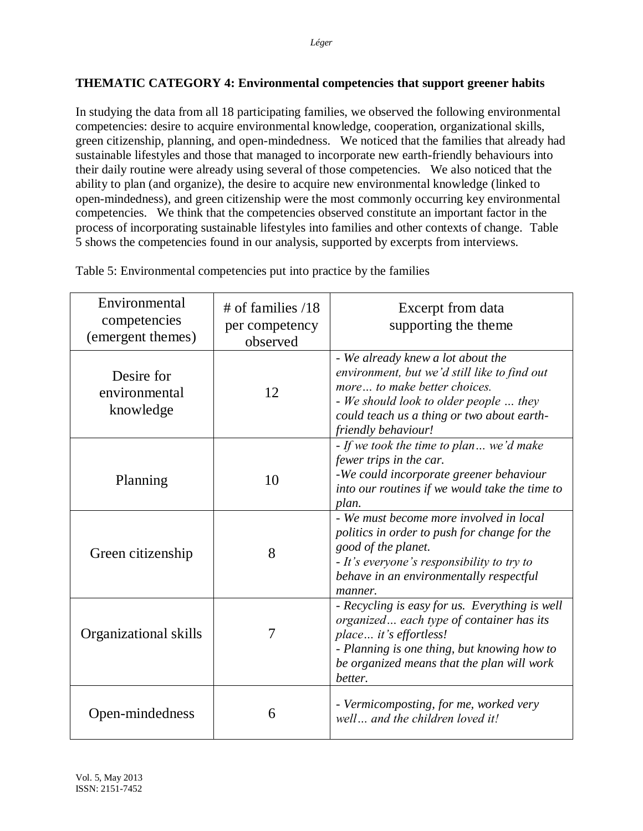## **THEMATIC CATEGORY 4: Environmental competencies that support greener habits**

In studying the data from all 18 participating families, we observed the following environmental competencies: desire to acquire environmental knowledge, cooperation, organizational skills, green citizenship, planning, and open-mindedness. We noticed that the families that already had sustainable lifestyles and those that managed to incorporate new earth-friendly behaviours into their daily routine were already using several of those competencies. We also noticed that the ability to plan (and organize), the desire to acquire new environmental knowledge (linked to open-mindedness), and green citizenship were the most commonly occurring key environmental competencies. We think that the competencies observed constitute an important factor in the process of incorporating sustainable lifestyles into families and other contexts of change. Table 5 shows the competencies found in our analysis, supported by excerpts from interviews.

| Environmental<br>competencies<br>(emergent themes) | $\#$ of families /18<br>per competency<br>observed | Excerpt from data<br>supporting the theme                                                                                                                                                                                        |
|----------------------------------------------------|----------------------------------------------------|----------------------------------------------------------------------------------------------------------------------------------------------------------------------------------------------------------------------------------|
| Desire for<br>environmental<br>knowledge           | 12                                                 | - We already knew a lot about the<br>environment, but we'd still like to find out<br>more to make better choices.<br>- We should look to older people  they<br>could teach us a thing or two about earth-<br>friendly behaviour! |
| Planning                                           | 10                                                 | - If we took the time to plan  we'd make<br>fewer trips in the car.<br>-We could incorporate greener behaviour<br>into our routines if we would take the time to<br>plan.                                                        |
| Green citizenship                                  | 8                                                  | - We must become more involved in local<br>politics in order to push for change for the<br>good of the planet.<br>- It's everyone's responsibility to try to<br>behave in an environmentally respectful<br>manner.               |
| Organizational skills                              | 7                                                  | - Recycling is easy for us. Everything is well<br>organized each type of container has its<br>place it's effortless!<br>- Planning is one thing, but knowing how to<br>be organized means that the plan will work<br>better.     |
| Open-mindedness                                    | 6                                                  | - Vermicomposting, for me, worked very<br>well and the children loved it!                                                                                                                                                        |

Table 5: Environmental competencies put into practice by the families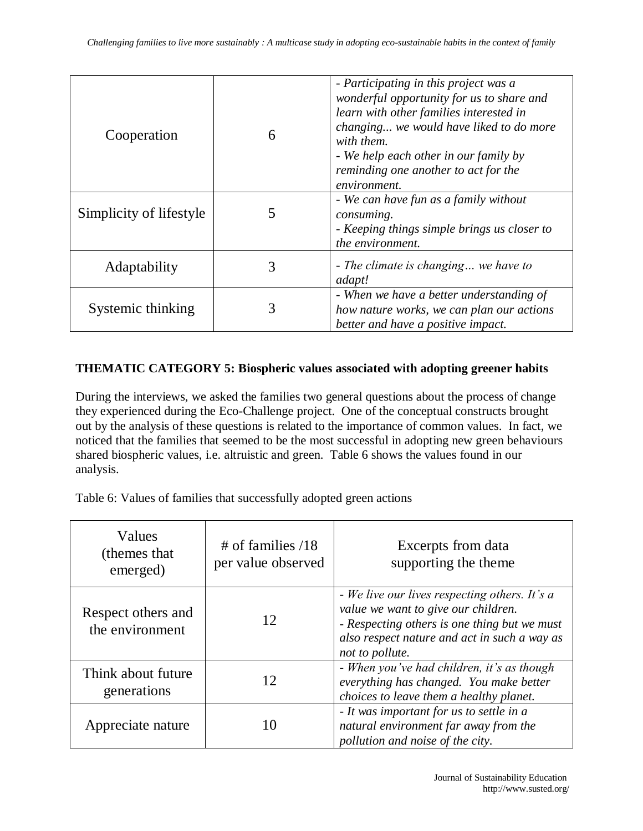| Cooperation             | 6 | - Participating in this project was a<br>wonderful opportunity for us to share and<br>learn with other families interested in<br>changing we would have liked to do more<br>with them.<br>- We help each other in our family by<br>reminding one another to act for the<br>environment. |
|-------------------------|---|-----------------------------------------------------------------------------------------------------------------------------------------------------------------------------------------------------------------------------------------------------------------------------------------|
| Simplicity of lifestyle |   | - We can have fun as a family without<br>consuming.<br>- Keeping things simple brings us closer to<br>the environment.                                                                                                                                                                  |
| Adaptability            | 3 | - The climate is changing we have to<br>adapt!                                                                                                                                                                                                                                          |
| Systemic thinking       | 3 | - When we have a better understanding of<br>how nature works, we can plan our actions<br>better and have a positive impact.                                                                                                                                                             |

#### **THEMATIC CATEGORY 5: Biospheric values associated with adopting greener habits**

During the interviews, we asked the families two general questions about the process of change they experienced during the Eco-Challenge project. One of the conceptual constructs brought out by the analysis of these questions is related to the importance of common values. In fact, we noticed that the families that seemed to be the most successful in adopting new green behaviours shared biospheric values, i.e. altruistic and green. Table 6 shows the values found in our analysis.

Table 6: Values of families that successfully adopted green actions

| Values<br>(themes that)<br>emerged)   | $\#$ of families /18<br>per value observed | Excerpts from data<br>supporting the theme                                                                                                                                                              |
|---------------------------------------|--------------------------------------------|---------------------------------------------------------------------------------------------------------------------------------------------------------------------------------------------------------|
| Respect others and<br>the environment | 12                                         | - We live our lives respecting others. It's a<br>value we want to give our children.<br>- Respecting others is one thing but we must<br>also respect nature and act in such a way as<br>not to pollute. |
| Think about future<br>generations     | 12                                         | - When you've had children, it's as though<br>everything has changed. You make better<br>choices to leave them a healthy planet.                                                                        |
| Appreciate nature                     |                                            | - It was important for us to settle in a<br>natural environment far away from the<br>pollution and noise of the city.                                                                                   |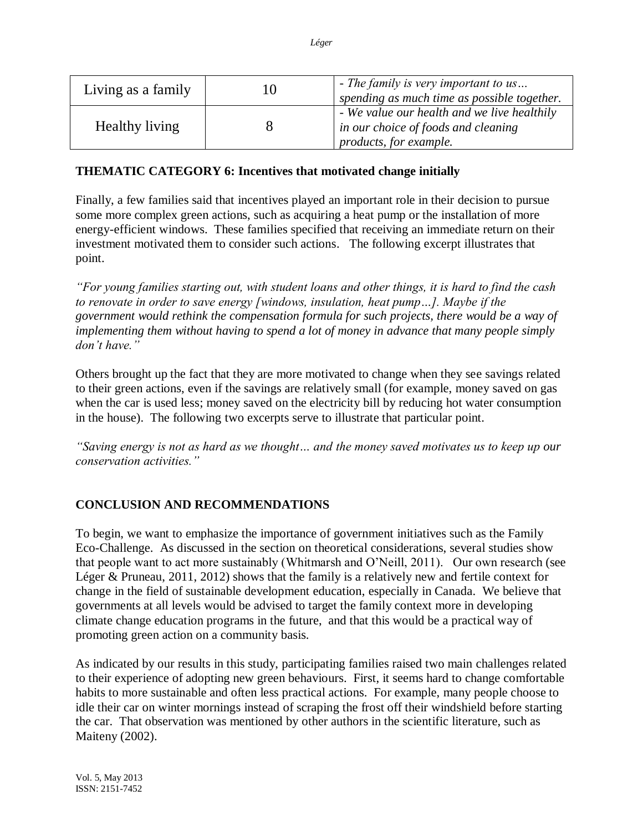| Living as a family | 10 | - The family is very important to us<br>spending as much time as possible together.                          |
|--------------------|----|--------------------------------------------------------------------------------------------------------------|
| Healthy living     |    | - We value our health and we live healthily<br>in our choice of foods and cleaning<br>products, for example. |

## **THEMATIC CATEGORY 6: Incentives that motivated change initially**

Finally, a few families said that incentives played an important role in their decision to pursue some more complex green actions, such as acquiring a heat pump or the installation of more energy-efficient windows. These families specified that receiving an immediate return on their investment motivated them to consider such actions. The following excerpt illustrates that point.

*"For young families starting out, with student loans and other things, it is hard to find the cash to renovate in order to save energy [windows, insulation, heat pump…]. Maybe if the government would rethink the compensation formula for such projects, there would be a way of implementing them without having to spend a lot of money in advance that many people simply don't have."* 

Others brought up the fact that they are more motivated to change when they see savings related to their green actions, even if the savings are relatively small (for example, money saved on gas when the car is used less; money saved on the electricity bill by reducing hot water consumption in the house). The following two excerpts serve to illustrate that particular point.

*"Saving energy is not as hard as we thought… and the money saved motivates us to keep up our conservation activities."* 

## **CONCLUSION AND RECOMMENDATIONS**

To begin, we want to emphasize the importance of government initiatives such as the Family Eco-Challenge. As discussed in the section on theoretical considerations, several studies show that people want to act more sustainably (Whitmarsh and O'Neill, 2011). Our own research (see Léger & Pruneau, 2011, 2012) shows that the family is a relatively new and fertile context for change in the field of sustainable development education, especially in Canada. We believe that governments at all levels would be advised to target the family context more in developing climate change education programs in the future, and that this would be a practical way of promoting green action on a community basis.

As indicated by our results in this study, participating families raised two main challenges related to their experience of adopting new green behaviours. First, it seems hard to change comfortable habits to more sustainable and often less practical actions. For example, many people choose to idle their car on winter mornings instead of scraping the frost off their windshield before starting the car. That observation was mentioned by other authors in the scientific literature, such as Maiteny (2002).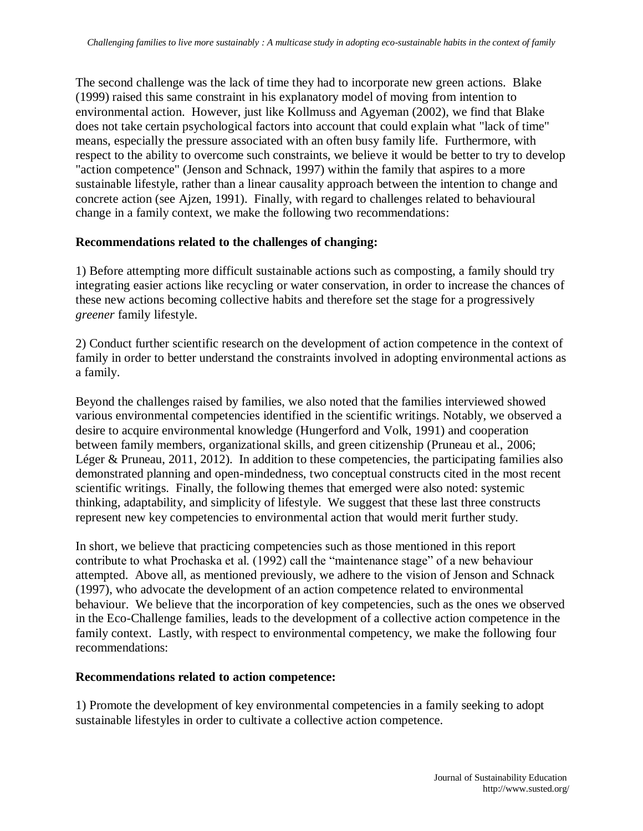The second challenge was the lack of time they had to incorporate new green actions. Blake (1999) raised this same constraint in his explanatory model of moving from intention to environmental action. However, just like Kollmuss and Agyeman (2002), we find that Blake does not take certain psychological factors into account that could explain what "lack of time" means, especially the pressure associated with an often busy family life. Furthermore, with respect to the ability to overcome such constraints, we believe it would be better to try to develop "action competence" (Jenson and Schnack, 1997) within the family that aspires to a more sustainable lifestyle, rather than a linear causality approach between the intention to change and concrete action (see Ajzen, 1991). Finally, with regard to challenges related to behavioural change in a family context, we make the following two recommendations:

#### **Recommendations related to the challenges of changing:**

1) Before attempting more difficult sustainable actions such as composting, a family should try integrating easier actions like recycling or water conservation, in order to increase the chances of these new actions becoming collective habits and therefore set the stage for a progressively *greener* family lifestyle.

2) Conduct further scientific research on the development of action competence in the context of family in order to better understand the constraints involved in adopting environmental actions as a family.

Beyond the challenges raised by families, we also noted that the families interviewed showed various environmental competencies identified in the scientific writings. Notably, we observed a desire to acquire environmental knowledge (Hungerford and Volk, 1991) and cooperation between family members, organizational skills, and green citizenship (Pruneau et al., 2006; Léger & Pruneau, 2011, 2012). In addition to these competencies, the participating families also demonstrated planning and open-mindedness, two conceptual constructs cited in the most recent scientific writings. Finally, the following themes that emerged were also noted: systemic thinking, adaptability, and simplicity of lifestyle. We suggest that these last three constructs represent new key competencies to environmental action that would merit further study.

In short, we believe that practicing competencies such as those mentioned in this report contribute to what Prochaska et al. (1992) call the "maintenance stage" of a new behaviour attempted. Above all, as mentioned previously, we adhere to the vision of Jenson and Schnack (1997), who advocate the development of an action competence related to environmental behaviour. We believe that the incorporation of key competencies, such as the ones we observed in the Eco-Challenge families, leads to the development of a collective action competence in the family context. Lastly, with respect to environmental competency, we make the following four recommendations:

#### **Recommendations related to action competence:**

1) Promote the development of key environmental competencies in a family seeking to adopt sustainable lifestyles in order to cultivate a collective action competence.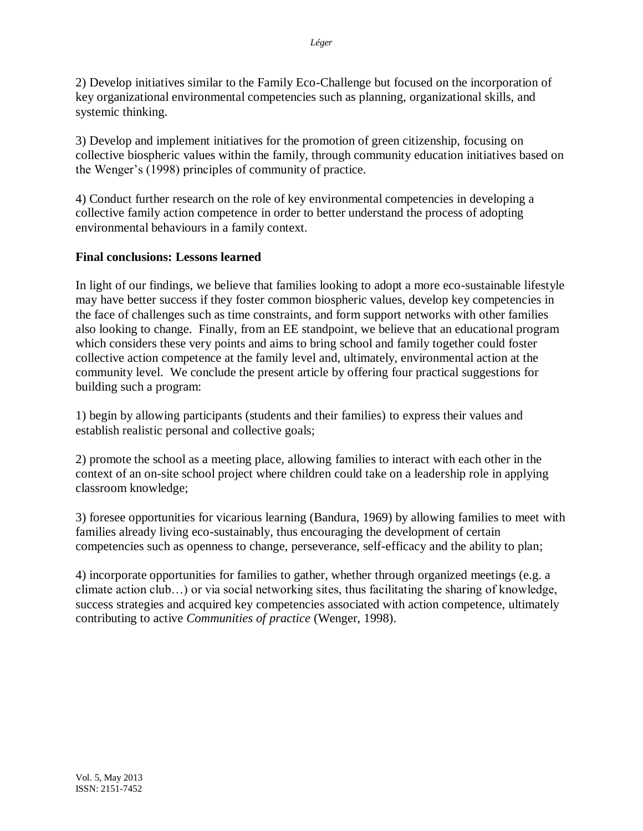2) Develop initiatives similar to the Family Eco-Challenge but focused on the incorporation of key organizational environmental competencies such as planning, organizational skills, and systemic thinking.

3) Develop and implement initiatives for the promotion of green citizenship, focusing on collective biospheric values within the family, through community education initiatives based on the Wenger's (1998) principles of community of practice.

4) Conduct further research on the role of key environmental competencies in developing a collective family action competence in order to better understand the process of adopting environmental behaviours in a family context.

## **Final conclusions: Lessons learned**

In light of our findings, we believe that families looking to adopt a more eco-sustainable lifestyle may have better success if they foster common biospheric values, develop key competencies in the face of challenges such as time constraints, and form support networks with other families also looking to change. Finally, from an EE standpoint, we believe that an educational program which considers these very points and aims to bring school and family together could foster collective action competence at the family level and, ultimately, environmental action at the community level. We conclude the present article by offering four practical suggestions for building such a program:

1) begin by allowing participants (students and their families) to express their values and establish realistic personal and collective goals;

2) promote the school as a meeting place, allowing families to interact with each other in the context of an on-site school project where children could take on a leadership role in applying classroom knowledge;

3) foresee opportunities for vicarious learning (Bandura, 1969) by allowing families to meet with families already living eco-sustainably, thus encouraging the development of certain competencies such as openness to change, perseverance, self-efficacy and the ability to plan;

4) incorporate opportunities for families to gather, whether through organized meetings (e.g. a climate action club…) or via social networking sites, thus facilitating the sharing of knowledge, success strategies and acquired key competencies associated with action competence, ultimately contributing to active *Communities of practice* (Wenger, 1998).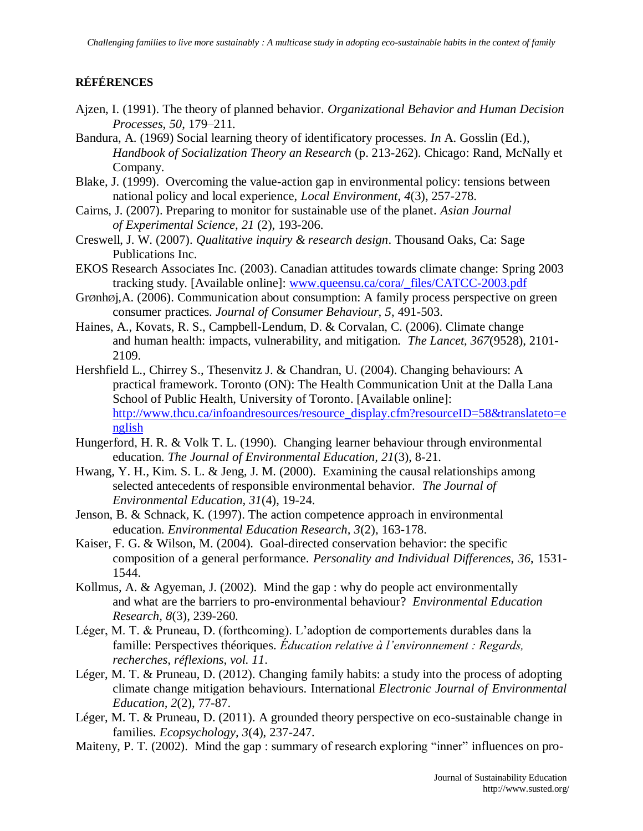# **RÉFÉRENCES**

- Ajzen, I. (1991). The theory of planned behavior. *Organizational Behavior and Human Decision Processes*, *50*, 179–211.
- Bandura, A. (1969) Social learning theory of identificatory processes. *In* A. Gosslin (Ed.), *Handbook of Socialization Theory an Research* (p. 213-262). Chicago: Rand, McNally et Company.
- Blake, J. (1999). Overcoming the value-action gap in environmental policy: tensions between national policy and local experience, *Local Environment*, *4*(3), 257-278.
- Cairns, J. (2007). Preparing to monitor for sustainable use of the planet. *Asian Journal of Experimental Science, 21* (2), 193-206.
- Creswell, J. W. (2007). *Qualitative inquiry & research design*. Thousand Oaks, Ca: Sage Publications Inc.
- EKOS Research Associates Inc. (2003). Canadian attitudes towards climate change: Spring 2003 tracking study. [Available online]: [www.queensu.ca/cora/\\_files/CATCC-2003.pdf](http://www.queensu.ca/cora/_files/CATCC-2003.pdf)
- GrØnhØj,A. (2006). Communication about consumption: A family process perspective on green consumer practices. *Journal of Consumer Behaviour, 5*, 491-503.
- Haines, A., Kovats, R. S., Campbell-Lendum, D. & Corvalan, C. (2006). Climate change and human health: impacts, vulnerability, and mitigation. *The Lancet*, *367*(9528), 2101- 2109.
- Hershfield L., Chirrey S., Thesenvitz J. & Chandran, U. (2004). Changing behaviours: A practical framework. Toronto (ON): The Health Communication Unit at the Dalla Lana School of Public Health, University of Toronto. [Available online]: http://www.thcu.ca/infoandresources/resource\_display.cfm?resourceID=58&translateto=e nglish
- Hungerford, H. R. & Volk T. L. (1990). Changing learner behaviour through environmental education. *The Journal of Environmental Education, 21*(3), 8-21.
- Hwang, Y. H., Kim. S. L. & Jeng, J. M. (2000). Examining the causal relationships among selected antecedents of responsible environmental behavior. *The Journal of Environmental Education, 31*(4), 19-24.
- Jenson, B. & Schnack, K. (1997). The action competence approach in environmental education. *Environmental Education Research, 3*(2), 163-178.
- Kaiser, F. G. & Wilson, M. (2004). Goal-directed conservation behavior: the specific composition of a general performance. *Personality and Individual Differences*, *36*, 1531- 1544.
- Kollmus, A. & Agyeman, J. (2002). Mind the gap : why do people act environmentally and what are the barriers to pro-environmental behaviour? *Environmental Education Research, 8*(3), 239-260.
- Léger, M. T. & Pruneau, D. (forthcoming). L'adoption de comportements durables dans la famille: Perspectives théoriques. *Éducation relative à l'environnement : Regards, recherches, réflexions, vol. 11*.
- Léger, M. T. & Pruneau, D. (2012). Changing family habits: a study into the process of adopting climate change mitigation behaviours. International *Electronic Journal of Environmental Education, 2*(2), 77-87.
- Léger, M. T. & Pruneau, D. (2011). A grounded theory perspective on eco-sustainable change in families. *Ecopsychology, 3*(4), 237-247.
- Maiteny, P. T. (2002). Mind the gap : summary of research exploring "inner" influences on pro-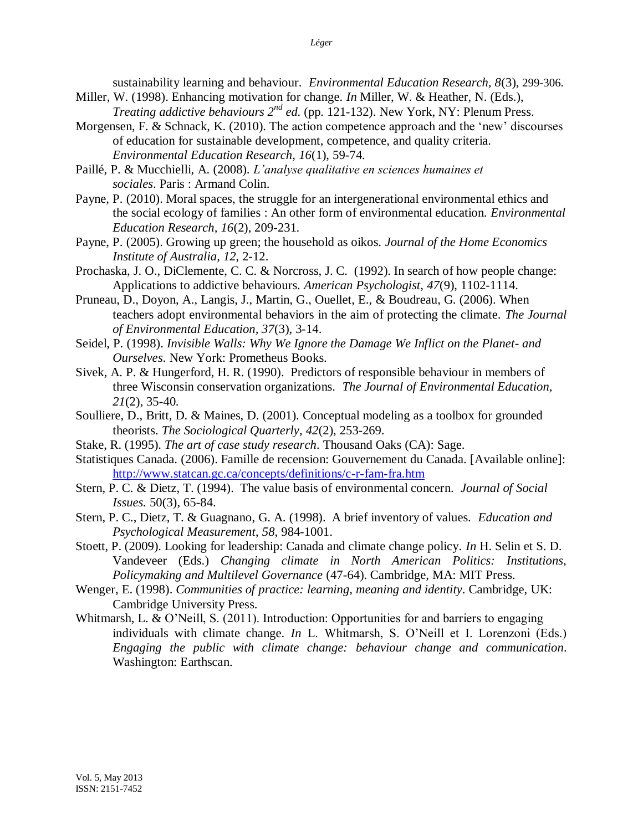sustainability learning and behaviour. *Environmental Education Research, 8*(3), 299-306.

- Miller, W. (1998). Enhancing motivation for change. *In* Miller, W. & Heather, N. (Eds.), *Treating addictive behaviours 2nd ed.* (pp. 121-132). New York, NY: Plenum Press.
- Morgensen, F. & Schnack, K. (2010). The action competence approach and the 'new' discourses of education for sustainable development, competence, and quality criteria. *Environmental Education Research, 16*(1), 59-74.
- Paillé, P. & Mucchielli, A. (2008). *L'analyse qualitative en sciences humaines et sociales*. Paris : Armand Colin.
- Payne, P. (2010). Moral spaces, the struggle for an intergenerational environmental ethics and the social ecology of families : An other form of environmental education. *Environmental Education Research, 16*(2), 209-231.
- Payne, P. (2005). Growing up green; the household as oikos. *Journal of the Home Economics Institute of Australia, 12*, 2-12.
- Prochaska, J. O., DiClemente, C. C. & Norcross, J. C. (1992). In search of how people change: Applications to addictive behaviours. *American Psychologist*, *47*(9), 1102-1114.
- Pruneau, D., Doyon, A., Langis, J., Martin, G., Ouellet, E., & Boudreau, G. (2006). When teachers adopt environmental behaviors in the aim of protecting the climate. *The Journal of Environmental Education, 37*(3), 3-14.
- Seidel, P. (1998). *Invisible Walls: Why We Ignore the Damage We Inflict on the Planet and Ourselves*. New York: Prometheus Books.
- Sivek, A. P. & Hungerford, H. R. (1990). Predictors of responsible behaviour in members of three Wisconsin conservation organizations. *The Journal of Environmental Education, 21*(2), 35-40.
- Soulliere, D., Britt, D. & Maines, D. (2001). Conceptual modeling as a toolbox for grounded theorists. *The Sociological Quarterly, 42*(2), 253-269.
- Stake, R. (1995). *The art of case study research*. Thousand Oaks (CA): Sage.
- Statistiques Canada. (2006). Famille de recension: Gouvernement du Canada. [Available online]: <http://www.statcan.gc.ca/concepts/definitions/c-r-fam-fra.htm>
- Stern, P. C. & Dietz, T. (1994). The value basis of environmental concern. *Journal of Social Issues.* 50(3), 65-84.
- Stern, P. C., Dietz, T. & Guagnano, G. A. (1998). A brief inventory of values. *Education and Psychological Measurement*, *58*, 984-1001.
- Stoett, P. (2009). Looking for leadership: Canada and climate change policy. *In* H. Selin et S. D. Vandeveer (Eds.) *Changing climate in North American Politics: Institutions, Policymaking and Multilevel Governance* (47-64). Cambridge, MA: MIT Press.
- Wenger, E. (1998). *Communities of practice: learning, meaning and identity*. Cambridge, UK: Cambridge University Press.
- Whitmarsh, L. & O'Neill, S. (2011). Introduction: Opportunities for and barriers to engaging individuals with climate change. *In* L. Whitmarsh, S. O'Neill et I. Lorenzoni (Eds.) *Engaging the public with climate change: behaviour change and communication*. Washington: Earthscan.